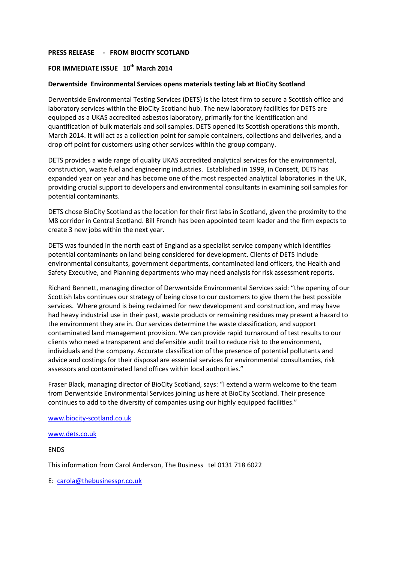## **PRESS RELEASE - FROM BIOCITY SCOTLAND**

# **FOR IMMEDIATE ISSUE 10th March 2014**

## **Derwentside Environmental Services opens materials testing lab at BioCity Scotland**

Derwentside Environmental Testing Services (DETS) is the latest firm to secure a Scottish office and laboratory services within the BioCity Scotland hub. The new laboratory facilities for DETS are equipped as a UKAS accredited asbestos laboratory, primarily for the identification and quantification of bulk materials and soil samples. DETS opened its Scottish operations this month, March 2014. It will act as a collection point for sample containers, collections and deliveries, and a drop off point for customers using other services within the group company.

DETS provides a wide range of quality UKAS accredited analytical services for the environmental, construction, waste fuel and engineering industries. Established in 1999, in Consett, DETS has expanded year on year and has become one of the most respected analytical laboratories in the UK, providing crucial support to developers and environmental consultants in examining soil samples for potential contaminants.

DETS chose BioCity Scotland as the location for their first labs in Scotland, given the proximity to the M8 corridor in Central Scotland. Bill French has been appointed team leader and the firm expects to create 3 new jobs within the next year.

DETS was founded in the north east of England as a specialist service company which identifies potential contaminants on land being considered for development. Clients of DETS include environmental consultants, government departments, contaminated land officers, the Health and Safety Executive, and Planning departments who may need analysis for risk assessment reports.

Richard Bennett, managing director of Derwentside Environmental Services said: "the opening of our Scottish labs continues our strategy of being close to our customers to give them the best possible services. Where ground is being reclaimed for new development and construction, and may have had heavy industrial use in their past, waste products or remaining residues may present a hazard to the environment they are in. Our services determine the waste classification, and support contaminated land management provision. We can provide rapid turnaround of test results to our clients who need a transparent and defensible audit trail to reduce risk to the environment, individuals and the company. Accurate classification of the presence of potential pollutants and advice and costings for their disposal are essential services for environmental consultancies, risk assessors and contaminated land offices within local authorities."

Fraser Black, managing director of BioCity Scotland, says: "I extend a warm welcome to the team from Derwentside Environmental Services joining us here at BioCity Scotland. Their presence continues to add to the diversity of companies using our highly equipped facilities."

#### [www.biocity-scotland.co.uk](http://www.biocity-scotland.co.uk/)

[www.dets.co.uk](http://www.dets.co.uk/)

ENDS

This information from Carol Anderson, The Business tel 0131 718 6022

E: [carola@thebusinesspr.co.uk](mailto:carola@thebusinesspr.co.uk)